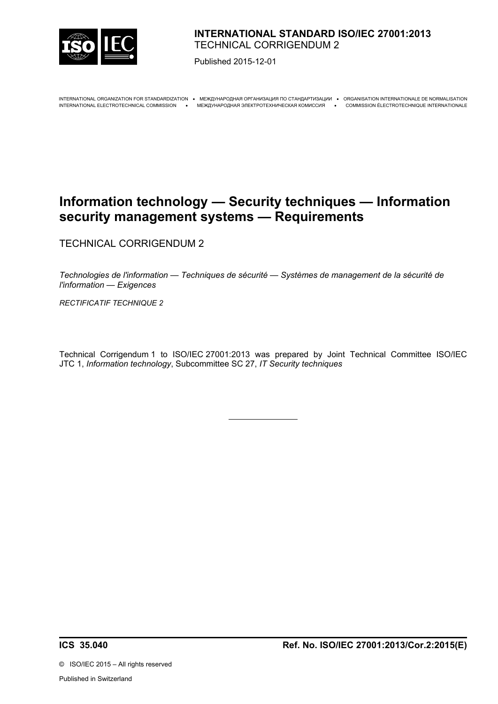

## **INTERNATIONAL STANDARD ISO/IEC 27001:2013** TECHNICAL CORRIGENDUM 2

Published 2015-12-01

INTERNATIONAL ORGANIZATION FOR STANDARDIZATION · MEЖДУНАРОДНАЯ ОРГАНИЗАЦИЯ ПО СТАНДАРТИЗАЦИИ · ORGANISATION INTERNATIONALE DE NORMALISATION INTERNATIONAL ELECTROTECHNICAL COMMISSION МЕЖДУНАРОДНАЯ ЭЛЕКТРОТЕХНИЧЕСКАЯ КОМИССИЯ COMMISSION ÉLECTROTECHNIQUE INTERNATIONALE

# **Information technology — Security techniques — Information security management systems — Requirements**

TECHNICAL CORRIGENDUM 2

*Technologies de l'information — Techniques de sécurité — Systèmes de management de la sécurité de l'information — Exigences*

*RECTIFICATIF TECHNIQUE 2*

Technical Corrigendum 1 to ISO/IEC 27001:2013 was prepared by Joint Technical Committee ISO/IEC JTC 1, *Information technology*, Subcommittee SC 27, *IT Security techniques*

 $\overline{a}$ 

©ISO/IEC 2015 – All rights reserved